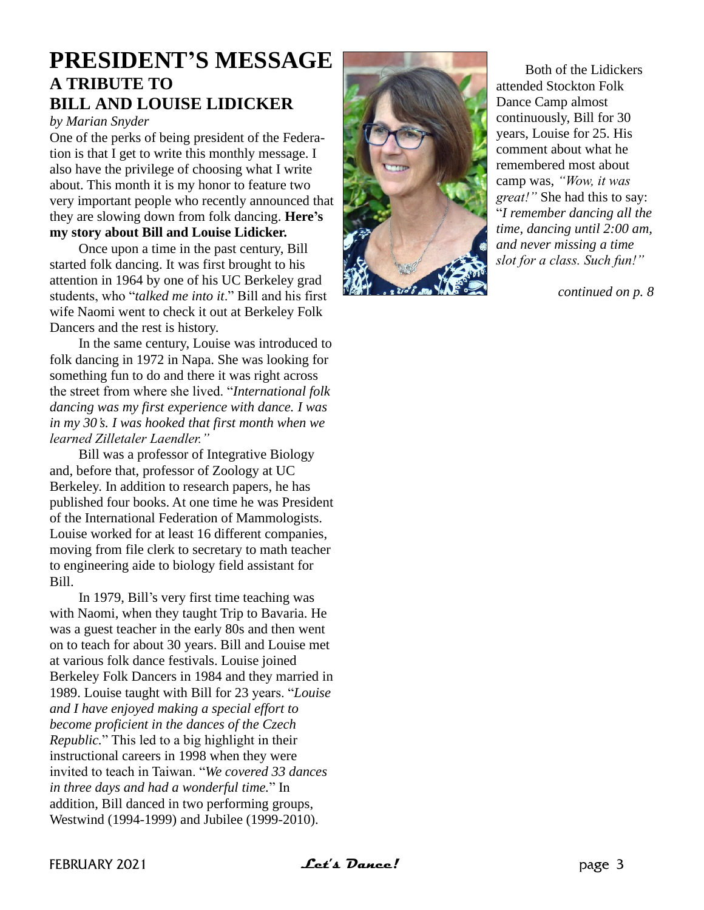## **PRESIDENT'S MESSAGE A TRIBUTE TO BILL AND LOUISE LIDICKER**

*by Marian Snyder*

One of the perks of being president of the Federation is that I get to write this monthly message. I also have the privilege of choosing what I write about. This month it is my honor to feature two very important people who recently announced that they are slowing down from folk dancing. **Here's my story about Bill and Louise Lidicker.**

Once upon a time in the past century, Bill started folk dancing. It was first brought to his attention in 1964 by one of his UC Berkeley grad students, who "*talked me into it*." Bill and his first wife Naomi went to check it out at Berkeley Folk Dancers and the rest is history.

In the same century, Louise was introduced to folk dancing in 1972 in Napa. She was looking for something fun to do and there it was right across the street from where she lived. "*International folk dancing was my first experience with dance. I was in my 30's. I was hooked that first month when we learned Zilletaler Laendler."*

Bill was a professor of Integrative Biology and, before that, professor of Zoology at UC Berkeley. In addition to research papers, he has published four books. At one time he was President of the International Federation of Mammologists. Louise worked for at least 16 different companies, moving from file clerk to secretary to math teacher to engineering aide to biology field assistant for Bill.

In 1979, Bill's very first time teaching was with Naomi, when they taught Trip to Bavaria. He was a guest teacher in the early 80s and then went on to teach for about 30 years. Bill and Louise met at various folk dance festivals. Louise joined Berkeley Folk Dancers in 1984 and they married in 1989. Louise taught with Bill for 23 years. "*Louise and I have enjoyed making a special effort to become proficient in the dances of the Czech Republic.*" This led to a big highlight in their instructional careers in 1998 when they were invited to teach in Taiwan. "*We covered 33 dances in three days and had a wonderful time.*" In addition, Bill danced in two performing groups, Westwind (1994-1999) and Jubilee (1999-2010).



Both of the Lidickers attended Stockton Folk Dance Camp almost continuously, Bill for 30 years, Louise for 25. His comment about what he remembered most about camp was, *"Wow, it was great!"* She had this to say: "*I remember dancing all the time, dancing until 2:00 am, and never missing a time slot for a class. Such fun!"*

*continued on p. 8*